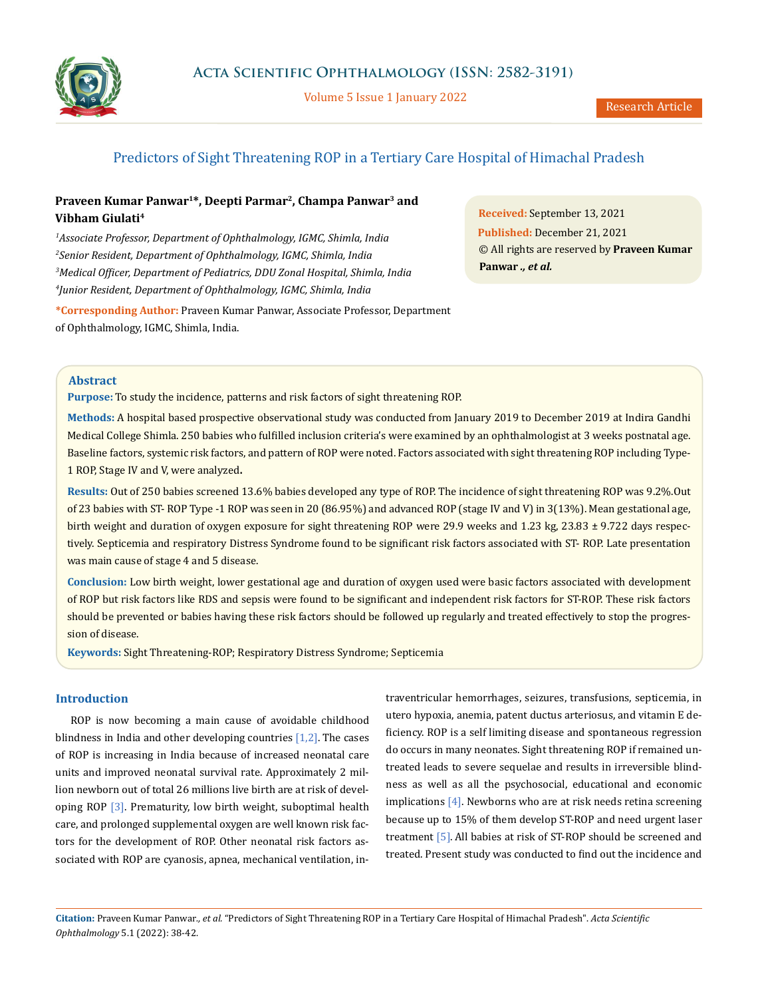

Volume 5 Issue 1 January 2022

## Predictors of Sight Threatening ROP in a Tertiary Care Hospital of Himachal Pradesh

# **Praveen Kumar Panwar1\*, Deepti Parmar2, Champa Panwar3 and Vibham Giulati4**

 *Associate Professor, Department of Ophthalmology, IGMC, Shimla, India Senior Resident, Department of Ophthalmology, IGMC, Shimla, India Medical Officer, Department of Pediatrics, DDU Zonal Hospital, Shimla, India Junior Resident, Department of Ophthalmology, IGMC, Shimla, India*

**Received:** September 13, 2021 **Published:** December 21, 2021 © All rights are reserved by **Praveen Kumar Panwar** *., et al.*

**\*Corresponding Author:** Praveen Kumar Panwar, Associate Professor, Department of Ophthalmology, IGMC, Shimla, India.

### **Abstract**

**Purpose:** To study the incidence, patterns and risk factors of sight threatening ROP.

**Methods:** A hospital based prospective observational study was conducted from January 2019 to December 2019 at Indira Gandhi Medical College Shimla. 250 babies who fulfilled inclusion criteria's were examined by an ophthalmologist at 3 weeks postnatal age. Baseline factors, systemic risk factors, and pattern of ROP were noted. Factors associated with sight threatening ROP including Type-1 ROP, Stage IV and V, were analyzed**.**

**Results:** Out of 250 babies screened 13.6% babies developed any type of ROP. The incidence of sight threatening ROP was 9.2%.Out of 23 babies with ST- ROP Type -1 ROP was seen in 20 (86.95%) and advanced ROP (stage IV and V) in 3(13%). Mean gestational age, birth weight and duration of oxygen exposure for sight threatening ROP were 29.9 weeks and 1.23 kg, 23.83 ± 9.722 days respectively. Septicemia and respiratory Distress Syndrome found to be significant risk factors associated with ST- ROP. Late presentation was main cause of stage 4 and 5 disease.

**Conclusion:** Low birth weight, lower gestational age and duration of oxygen used were basic factors associated with development of ROP but risk factors like RDS and sepsis were found to be significant and independent risk factors for ST-ROP. These risk factors should be prevented or babies having these risk factors should be followed up regularly and treated effectively to stop the progression of disease.

**Keywords:** Sight Threatening-ROP; Respiratory Distress Syndrome; Septicemia

#### **Introduction**

ROP is now becoming a main cause of avoidable childhood blindness in India and other developing countries  $[1,2]$ . The cases of ROP is increasing in India because of increased neonatal care units and improved neonatal survival rate. Approximately 2 million newborn out of total 26 millions live birth are at risk of developing ROP [3]. Prematurity, low birth weight, suboptimal health care, and prolonged supplemental oxygen are well known risk factors for the development of ROP. Other neonatal risk factors associated with ROP are cyanosis, apnea, mechanical ventilation, intraventricular hemorrhages, seizures, transfusions, septicemia, in utero hypoxia, anemia, patent ductus arteriosus, and vitamin E deficiency. ROP is a self limiting disease and spontaneous regression do occurs in many neonates. Sight threatening ROP if remained untreated leads to severe sequelae and results in irreversible blindness as well as all the psychosocial, educational and economic implications [4]. Newborns who are at risk needs retina screening because up to 15% of them develop ST-ROP and need urgent laser treatment [5].All babies at risk of ST-ROP should be screened and treated. Present study was conducted to find out the incidence and

**Citation:** Praveen Kumar Panwar*., et al.* "Predictors of Sight Threatening ROP in a Tertiary Care Hospital of Himachal Pradesh". *Acta Scientific Ophthalmology* 5.1 (2022): 38-42.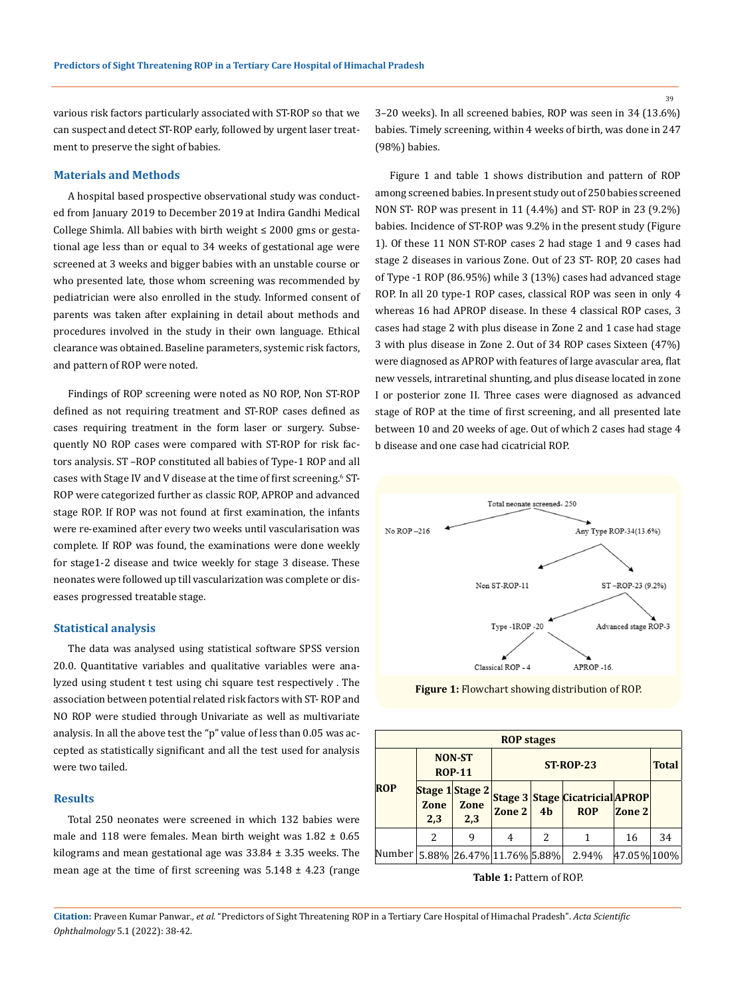various risk factors particularly associated with ST-ROP so that we can suspect and detect ST-ROP early, followed by urgent laser treatment to preserve the sight of babies.

#### **Materials and Methods**

A hospital based prospective observational study was conducted from January 2019 to December 2019 at Indira Gandhi Medical College Shimla. All babies with birth weight  $\leq$  2000 gms or gestational age less than or equal to 34 weeks of gestational age were screened at 3 weeks and bigger babies with an unstable course or who presented late, those whom screening was recommended by pediatrician were also enrolled in the study. Informed consent of parents was taken after explaining in detail about methods and procedures involved in the study in their own language. Ethical clearance was obtained. Baseline parameters, systemic risk factors, and pattern of ROP were noted.

Findings of ROP screening were noted as NO ROP, Non ST-ROP defined as not requiring treatment and ST-ROP cases defined as cases requiring treatment in the form laser or surgery. Subsequently NO ROP cases were compared with ST-ROP for risk factors analysis. ST –ROP constituted all babies of Type-1 ROP and all cases with Stage IV and V disease at the time of first screening.<sup>6</sup> ST-ROP were categorized further as classic ROP, APROP and advanced stage ROP. If ROP was not found at first examination, the infants were re-examined after every two weeks until vascularisation was complete. If ROP was found, the examinations were done weekly for stage1-2 disease and twice weekly for stage 3 disease. These neonates were followed up till vascularization was complete or diseases progressed treatable stage.

#### **Statistical analysis**

The data was analysed using statistical software SPSS version 20.0. Quantitative variables and qualitative variables were analyzed using student t test using chi square test respectively . The association between potential related risk factors with ST- ROP and NO ROP were studied through Univariate as well as multivariate analysis. In all the above test the "p" value of less than 0.05 was accepted as statistically significant and all the test used for analysis were two tailed.

### **Results**

Total 250 neonates were screened in which 132 babies were male and 118 were females. Mean birth weight was  $1.82 \pm 0.65$ kilograms and mean gestational age was  $33.84 \pm 3.35$  weeks. The mean age at the time of first screening was  $5.148 \pm 4.23$  (range 3–20 weeks). In all screened babies, ROP was seen in 34 (13.6%) babies. Timely screening, within 4 weeks of birth, was done in 247 (98%) babies.

Figure 1 and table 1 shows distribution and pattern of ROP among screened babies. In present study out of 250 babies screened NON ST- ROP was present in 11 (4.4%) and ST- ROP in 23 (9.2%) babies. Incidence of ST-ROP was 9.2% in the present study (Figure 1). Of these 11 NON ST-ROP cases 2 had stage 1 and 9 cases had stage 2 diseases in various Zone. Out of 23 ST- ROP, 20 cases had of Type -1 ROP (86.95%) while 3 (13%) cases had advanced stage ROP. In all 20 type-1 ROP cases, classical ROP was seen in only 4 whereas 16 had APROP disease. In these 4 classical ROP cases, 3 cases had stage 2 with plus disease in Zone 2 and 1 case had stage 3 with plus disease in Zone 2. Out of 34 ROP cases Sixteen (47%) were diagnosed as APROP with features of large avascular area, flat new vessels, intraretinal shunting, and plus disease located in zone I or posterior zone II. Three cases were diagnosed as advanced stage of ROP at the time of first screening, and all presented late between 10 and 20 weeks of age. Out of which 2 cases had stage 4 b disease and one case had cicatricial ROP.



**Figure 1:** Flowchart showing distribution of ROP.

| <b>ROP</b> stages                |                                |                                |        |                |                                                      |             |    |  |
|----------------------------------|--------------------------------|--------------------------------|--------|----------------|------------------------------------------------------|-------------|----|--|
|                                  | <b>NON-ST</b><br><b>ROP-11</b> |                                |        | <b>Total</b>   |                                                      |             |    |  |
| <b>ROP</b>                       | Zone<br>2,3                    | Stage 1 Stage 2<br>Zone<br>2,3 | Zone 2 | 4 <sub>b</sub> | <b>Stage 3 Stage Cicatricial APROP</b><br><b>ROP</b> | Zone 2      |    |  |
|                                  | $\overline{\mathcal{L}}$       | 9                              | 4      | 2              |                                                      | 16          | 34 |  |
| Number 5.88% 26.47% 11.76% 5.88% |                                |                                |        |                | 2.94%                                                | 47.05% 100% |    |  |

**Table 1:** Pattern of ROP.

**Citation:** Praveen Kumar Panwar*., et al.* "Predictors of Sight Threatening ROP in a Tertiary Care Hospital of Himachal Pradesh". *Acta Scientific Ophthalmology* 5.1 (2022): 38-42.

39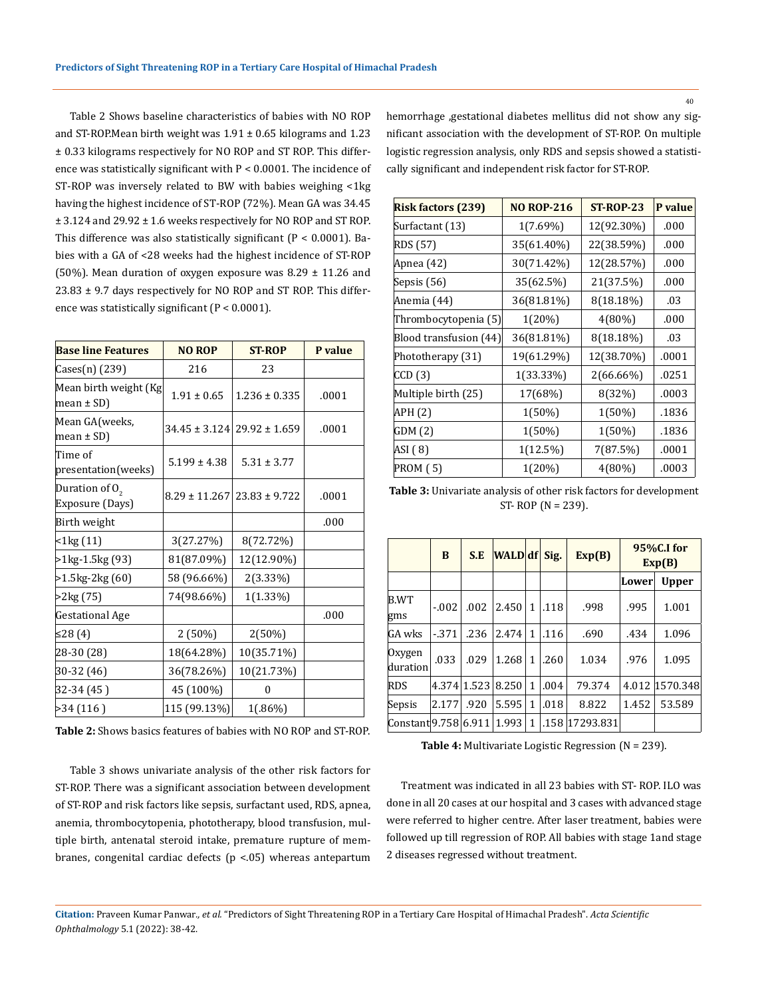Table 2 Shows baseline characteristics of babies with NO ROP and ST-ROP. Mean birth weight was  $1.91 \pm 0.65$  kilograms and  $1.23$ ± 0.33 kilograms respectively for NO ROP and ST ROP. This difference was statistically significant with P < 0.0001. The incidence of ST-ROP was inversely related to BW with babies weighing <1kg having the highest incidence of ST-ROP (72%). Mean GA was 34.45 ± 3.124 and 29.92 ± 1.6 weeks respectively for NO ROP and ST ROP. This difference was also statistically significant  $(P < 0.0001)$ . Babies with a GA of <28 weeks had the highest incidence of ST-ROP (50%). Mean duration of oxygen exposure was 8.29  $\pm$  11.26 and 23.83 ± 9.7 days respectively for NO ROP and ST ROP. This difference was statistically significant (P < 0.0001).

| <b>Base line Features</b>           | <b>NO ROP</b>     | <b>ST-ROP</b>                       | P value |  |
|-------------------------------------|-------------------|-------------------------------------|---------|--|
| Cases(n) (239)                      | 216               | 23                                  |         |  |
| Mean birth weight (Kg<br>mean ± SD) | $1.91 \pm 0.65$   | $1.236 \pm 0.335$                   | .0001   |  |
| Mean GA(weeks,<br>mean ± SD)        |                   | $34.45 \pm 3.124$ 29.92 $\pm 1.659$ | .0001   |  |
| Time of<br>presentation(weeks)      | $5.199 \pm 4.38$  | $5.31 \pm 3.77$                     |         |  |
| Duration of $02$<br>Exposure (Days) | $8.29 \pm 11.267$ | $23.83 \pm 9.722$                   | .0001   |  |
| Birth weight                        |                   |                                     | .000    |  |
| $<$ 1 $kg(11)$                      | 3(27.27%)         | 8(72.72%)                           |         |  |
| >1kg-1.5kg (93)                     | 81(87.09%)        | 12(12.90%)                          |         |  |
| >1.5kg-2kg (60)                     | 58 (96.66%)       | 2(3.33%)                            |         |  |
| >2kg (75)                           | 74(98.66%)        | $1(1.33\%)$                         |         |  |
| Gestational Age                     |                   |                                     | .000    |  |
| ≤28 (4)                             | 2(50%)            | 2(50%)                              |         |  |
| 28-30 (28)                          | 18(64.28%)        | 10(35.71%)                          |         |  |
| 30-32 (46)                          | 36(78.26%)        | 10(21.73%)                          |         |  |
| 32-34 (45)                          | 45 (100%)         | 0                                   |         |  |
| >34(116)                            | 115 (99.13%)      | 1(.86%)                             |         |  |

**Table 2:** Shows basics features of babies with NO ROP and ST-ROP.

Table 3 shows univariate analysis of the other risk factors for ST-ROP. There was a significant association between development of ST-ROP and risk factors like sepsis, surfactant used, RDS, apnea, anemia, thrombocytopenia, phototherapy, blood transfusion, multiple birth, antenatal steroid intake, premature rupture of membranes, congenital cardiac defects (p <.05) whereas antepartum hemorrhage ,gestational diabetes mellitus did not show any significant association with the development of ST-ROP. On multiple logistic regression analysis, only RDS and sepsis showed a statistically significant and independent risk factor for ST-ROP.

| <b>Risk factors (239)</b> | <b>NO ROP-216</b> | <b>ST-ROP-23</b> | P value |
|---------------------------|-------------------|------------------|---------|
| Surfactant (13)           | $1(7.69\%)$       | 12(92.30%)       | .000    |
| RDS (57)                  | 35(61.40%)        | 22(38.59%)       | .000    |
| Apnea (42)                | 30(71.42%)        | 12(28.57%)       | .000    |
| Sepsis (56)               | 35(62.5%)         | 21(37.5%)        | .000    |
| Anemia (44)               | 36(81.81%)        | 8(18.18%)        | .03     |
| Thrombocytopenia (5)      | $1(20\%)$         | $4(80\%)$        | .000    |
| Blood transfusion (44)    | 36(81.81%)        | 8(18.18%)        | .03     |
| Phototherapy (31)         | 19(61.29%)        | 12(38.70%)       | .0001   |
| CCD (3)                   | 1(33.33%)         | 2(66.66%)        | .0251   |
| Multiple birth (25)       | 17(68%)           | 8(32%)           | .0003   |
| APH (2)                   | $1(50\%)$         | 1(50%)           | .1836   |
| GDM (2)                   | 1(50%)            | 1(50%)           | .1836   |
| ASI (8)                   | $1(12.5\%)$       | 7(87.5%)         | .0001   |
| <b>PROM (5)</b>           | 1(20%)            | $4(80\%)$        | .0003   |

**Table 3:** Univariate analysis of other risk factors for development ST- ROP (N = 239).

|                      | B       | S.E         | <b>WALD</b> df |   | Sig. | Exp(B)         | 95%C.I for<br>Exp(B) |                |
|----------------------|---------|-------------|----------------|---|------|----------------|----------------------|----------------|
|                      |         |             |                |   |      |                | Lower                | <b>Upper</b>   |
| B.WT<br>gms          | $-.002$ | .002        | 2.450          | 1 | .118 | .998           | .995                 | 1.001          |
| GA wks               | $-371$  | .236        | 2.474          | 1 | .116 | .690           | .434                 | 1.096          |
| Oxygen<br>duration   | .033    | .029        | 1.268          | 1 | .260 | 1.034          | .976                 | 1.095          |
| RDS                  |         | 4.374 1.523 | 8.250          | 1 | .004 | 79.374         |                      | 4.012 1570.348 |
| Sepsis               | 2.177   | .920        | 5.595          | 1 | .018 | 8.822          | 1.452                | 53.589         |
| Constant 9.758 6.911 |         |             | 1.993          | 1 |      | .158 17293.831 |                      |                |

**Table 4:** Multivariate Logistic Regression (N = 239).

Treatment was indicated in all 23 babies with ST- ROP. ILO was done in all 20 cases at our hospital and 3 cases with advanced stage were referred to higher centre. After laser treatment, babies were followed up till regression of ROP. All babies with stage 1and stage 2 diseases regressed without treatment.

40

**Citation:** Praveen Kumar Panwar*., et al.* "Predictors of Sight Threatening ROP in a Tertiary Care Hospital of Himachal Pradesh". *Acta Scientific Ophthalmology* 5.1 (2022): 38-42.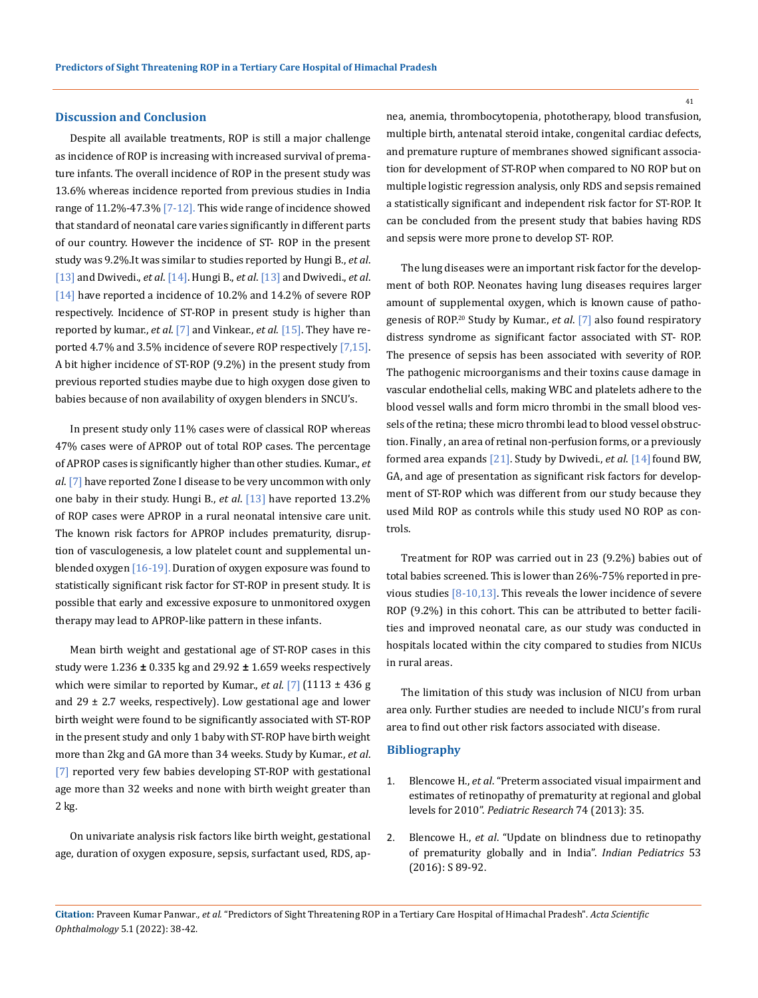#### **Discussion and Conclusion**

Despite all available treatments, ROP is still a major challenge as incidence of ROP is increasing with increased survival of premature infants. The overall incidence of ROP in the present study was 13.6% whereas incidence reported from previous studies in India range of 11.2%-47.3% [7-12]. This wide range of incidence showed that standard of neonatal care varies significantly in different parts of our country. However the incidence of ST- ROP in the present study was 9.2%.It was similar to studies reported by Hungi B., *et al*. [13] and Dwivedi., *et al*. [14]. Hungi B., *et al*. [13] and Dwivedi., *et al*. [14] have reported a incidence of 10.2% and 14.2% of severe ROP respectively. Incidence of ST-ROP in present study is higher than reported by kumar., *et al*. [7] and Vinkear., *et al*. [15]. They have reported 4.7% and 3.5% incidence of severe ROP respectively [7,15]. A bit higher incidence of ST-ROP (9.2%) in the present study from previous reported studies maybe due to high oxygen dose given to babies because of non availability of oxygen blenders in SNCU's.

In present study only 11% cases were of classical ROP whereas 47% cases were of APROP out of total ROP cases. The percentage of APROP cases is significantly higher than other studies. Kumar., *et al*. [7] have reported Zone I disease to be very uncommon with only one baby in their study. Hungi B., *et al*. [13] have reported 13.2% of ROP cases were APROP in a rural neonatal intensive care unit. The known risk factors for APROP includes prematurity, disruption of vasculogenesis, a low platelet count and supplemental unblended oxygen [16-19]. Duration of oxygen exposure was found to statistically significant risk factor for ST-ROP in present study. It is possible that early and excessive exposure to unmonitored oxygen therapy may lead to APROP-like pattern in these infants.

Mean birth weight and gestational age of ST-ROP cases in this study were 1.236 **±** 0.335 kg and 29.92 **±** 1.659 weeks respectively which were similar to reported by Kumar., *et al*. [7](1113 ± 436 g and  $29 \pm 2.7$  weeks, respectively). Low gestational age and lower birth weight were found to be significantly associated with ST-ROP in the present study and only 1 baby with ST-ROP have birth weight more than 2kg and GA more than 34 weeks. Study by Kumar., *et al*. [7] reported very few babies developing ST-ROP with gestational age more than 32 weeks and none with birth weight greater than 2 kg.

On univariate analysis risk factors like birth weight, gestational age, duration of oxygen exposure, sepsis, surfactant used, RDS, apnea, anemia, thrombocytopenia, phototherapy, blood transfusion, multiple birth, antenatal steroid intake, congenital cardiac defects, and premature rupture of membranes showed significant association for development of ST-ROP when compared to NO ROP but on multiple logistic regression analysis, only RDS and sepsis remained a statistically significant and independent risk factor for ST-ROP. It can be concluded from the present study that babies having RDS and sepsis were more prone to develop ST- ROP.

The lung diseases were an important risk factor for the development of both ROP. Neonates having lung diseases requires larger amount of supplemental oxygen, which is known cause of pathogenesis of ROP.20 Study by Kumar., *et al*. [7] also found respiratory distress syndrome as significant factor associated with ST- ROP. The presence of sepsis has been associated with severity of ROP. The pathogenic microorganisms and their toxins cause damage in vascular endothelial cells, making WBC and platelets adhere to the blood vessel walls and form micro thrombi in the small blood vessels of the retina; these micro thrombi lead to blood vessel obstruction. Finally , an area of retinal non-perfusion forms, or a previously formed area expands [21]. Study by Dwivedi., et al. [14] found BW, GA, and age of presentation as significant risk factors for development of ST-ROP which was different from our study because they used Mild ROP as controls while this study used NO ROP as controls.

Treatment for ROP was carried out in 23 (9.2%) babies out of total babies screened. This is lower than 26%-75% reported in previous studies [8-10,13]. This reveals the lower incidence of severe ROP (9.2%) in this cohort. This can be attributed to better facilities and improved neonatal care, as our study was conducted in hospitals located within the city compared to studies from NICUs in rural areas.

The limitation of this study was inclusion of NICU from urban area only. Further studies are needed to include NICU's from rural area to find out other risk factors associated with disease.

### **Bibliography**

- 1. Blencowe H., *et al*[. "Preterm associated visual impairment and](https://pubmed.ncbi.nlm.nih.gov/24366462/)  [estimates of retinopathy of prematurity at regional and global](https://pubmed.ncbi.nlm.nih.gov/24366462/)  levels for 2010". *[Pediatric Research](https://pubmed.ncbi.nlm.nih.gov/24366462/)* 74 (2013): 35.
- 2. Blencowe H., *et al*[. "Update on blindness due to retinopathy](https://pubmed.ncbi.nlm.nih.gov/27915313/)  [of prematurity globally and in India".](https://pubmed.ncbi.nlm.nih.gov/27915313/) *Indian Pediatrics* 53 [\(2016\): S 89-92.](https://pubmed.ncbi.nlm.nih.gov/27915313/)

41

**Citation:** Praveen Kumar Panwar*., et al.* "Predictors of Sight Threatening ROP in a Tertiary Care Hospital of Himachal Pradesh". *Acta Scientific Ophthalmology* 5.1 (2022): 38-42.